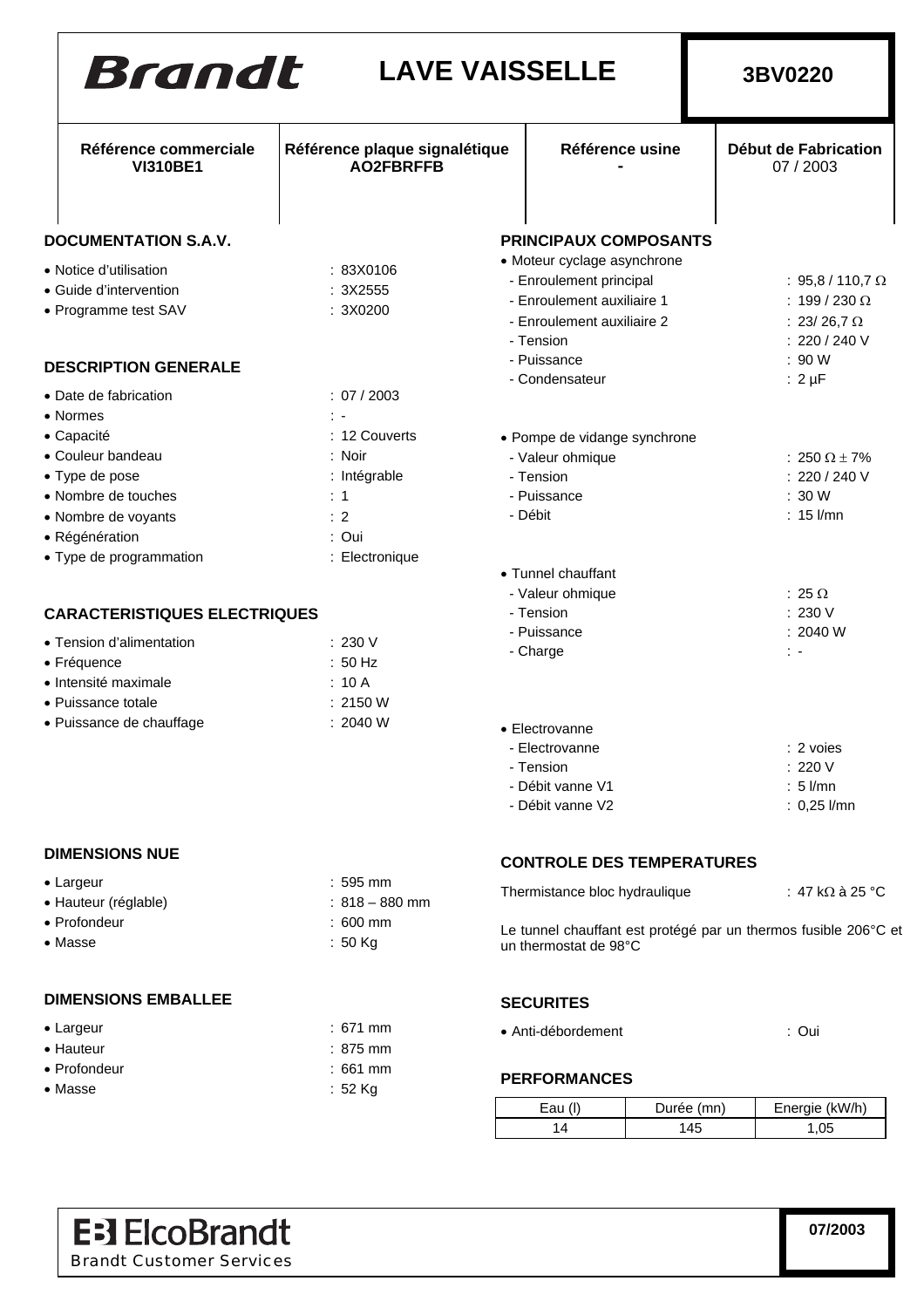| Brandt                                           | <b>LAVE VAISSELLE</b>                             |                                  | 3BV0220                                                         |
|--------------------------------------------------|---------------------------------------------------|----------------------------------|-----------------------------------------------------------------|
| Référence commerciale<br><b>VI310BE1</b>         | Référence plaque signalétique<br><b>AO2FBRFFB</b> | Référence usine                  | Début de Fabrication<br>07 / 2003                               |
| <b>DOCUMENTATION S.A.V.</b>                      |                                                   | <b>PRINCIPAUX COMPOSANTS</b>     |                                                                 |
|                                                  |                                                   | • Moteur cyclage asynchrone      |                                                                 |
| • Notice d'utilisation<br>• Guide d'intervention | : 83X0106<br>: 3X2555                             | - Enroulement principal          | : 95,8 / 110,7 $\Omega$                                         |
| • Programme test SAV                             | : 3X0200                                          | - Enroulement auxiliaire 1       | : 199 / 230 $\Omega$                                            |
|                                                  |                                                   | - Enroulement auxiliaire 2       | : 23/ 26,7 $\Omega$                                             |
|                                                  |                                                   | - Tension                        | : 220 / 240 V                                                   |
| <b>DESCRIPTION GENERALE</b>                      |                                                   | - Puissance                      | : 90 W                                                          |
| • Date de fabrication                            | : 07 / 2003                                       | - Condensateur                   | $: 2 \mu F$                                                     |
| • Normes                                         | t e                                               |                                  |                                                                 |
| • Capacité                                       | : 12 Couverts                                     | • Pompe de vidange synchrone     |                                                                 |
| • Couleur bandeau                                | : Noir                                            | - Valeur ohmique                 | : 250 $\Omega$ $\pm$ 7%                                         |
| • Type de pose                                   | : Intégrable                                      | - Tension                        | : 220 / 240 V                                                   |
| • Nombre de touches                              | $\therefore$ 1                                    | - Puissance                      | : 30 W                                                          |
| • Nombre de voyants                              | : 2                                               | - Débit                          | $: 15$ l/mn                                                     |
| • Régénération                                   | : Oui                                             |                                  |                                                                 |
| • Type de programmation                          | : Electronique                                    |                                  |                                                                 |
|                                                  |                                                   | • Tunnel chauffant               |                                                                 |
|                                                  |                                                   | - Valeur ohmique                 | $: 25 \Omega$                                                   |
| <b>CARACTERISTIQUES ELECTRIQUES</b>              |                                                   | - Tension                        | : 230 V                                                         |
| • Tension d'alimentation                         | : 230 V                                           | - Puissance                      | : 2040 W                                                        |
| • Fréquence                                      | : 50 Hz                                           | - Charge                         | $\ddot{\phantom{1}}$                                            |
| • Intensité maximale                             | : 10A                                             |                                  |                                                                 |
| · Puissance totale                               | : 2150 W                                          |                                  |                                                                 |
| • Puissance de chauffage                         | : 2040 W                                          | • Electrovanne                   |                                                                 |
|                                                  |                                                   | - Electrovanne                   | $: 2$ voies                                                     |
|                                                  |                                                   | - Tension                        | : 220 V                                                         |
|                                                  |                                                   | - Débit vanne V1                 | $: 5$ $l$ /mn                                                   |
|                                                  |                                                   | - Débit vanne V2                 | $: 0,25$ l/mn                                                   |
| <b>DIMENSIONS NUE</b>                            |                                                   | <b>CONTROLE DES TEMPERATURES</b> |                                                                 |
| • Largeur                                        | $: 595$ mm                                        |                                  |                                                                 |
| • Hauteur (réglable)                             | $: 818 - 880$ mm                                  | Thermistance bloc hydraulique    | $\pm$ 47 kΩ à 25 °C                                             |
| • Profondeur                                     | $:600$ mm                                         |                                  | Le tunnel chauffant est protégé par un thermos fusible 206°C et |
| • Masse                                          | $: 50$ Kg                                         | un thermostat de 98°C            |                                                                 |
| <b>DIMENSIONS EMBALLEE</b>                       |                                                   | <b>SECURITES</b>                 |                                                                 |
| • Largeur                                        | $: 671$ mm                                        |                                  |                                                                 |
| • Hauteur                                        | $: 875$ mm                                        | • Anti-débordement               | : Oui                                                           |
| • Profondeur                                     | : 661 mm                                          |                                  |                                                                 |
| • Masse                                          | $: 52$ Kg                                         | <b>PERFORMANCES</b>              |                                                                 |

| :52 Kg |  |
|--------|--|
|        |  |

| FENFUNWANJEJ |            |                |
|--------------|------------|----------------|
| Eau (I)      | Durée (mn) | Energie (kW/h) |
| 14           | 145        | 1.05           |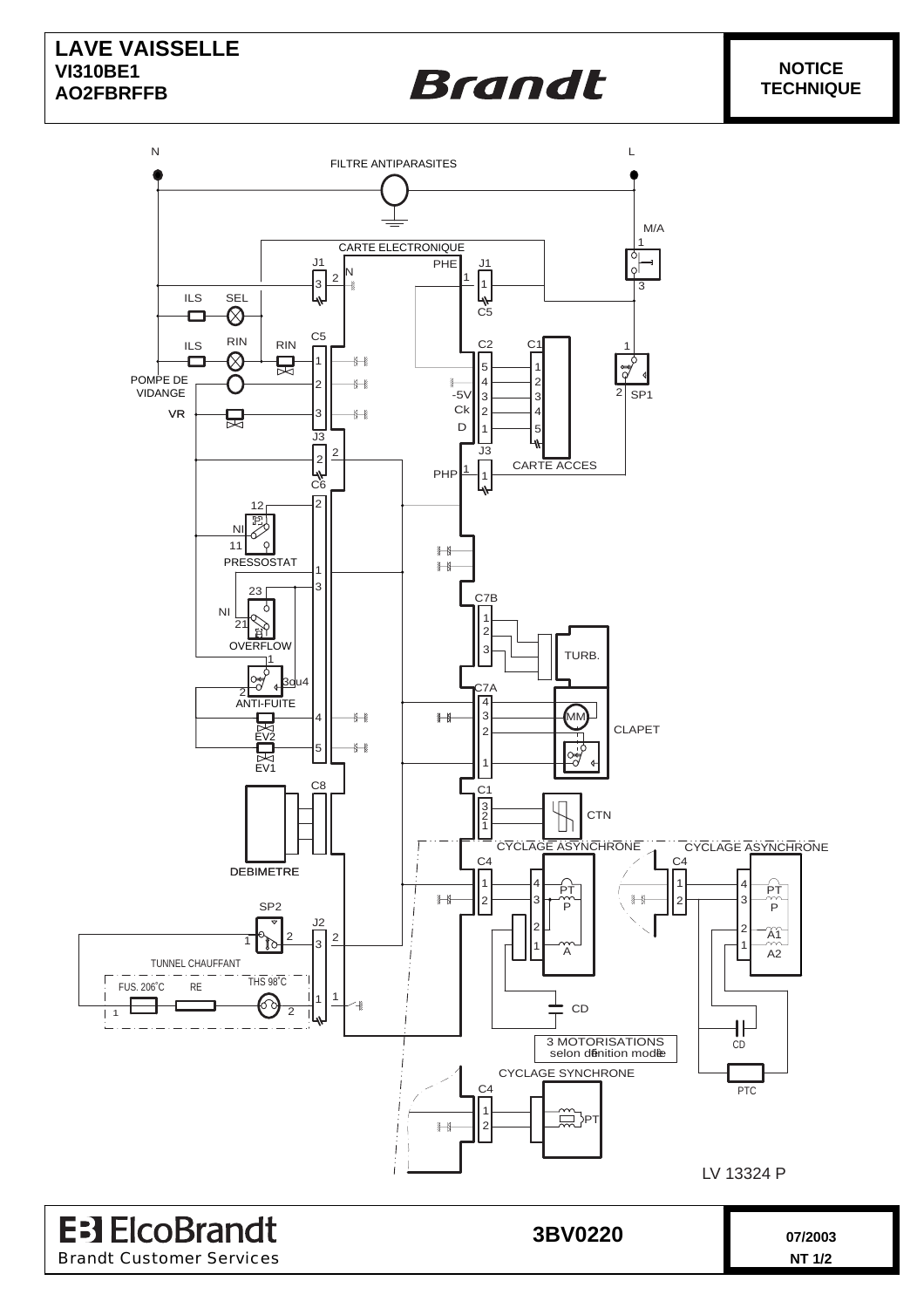#### **LAVE VAISSELLE VI310BE1 AO2FBRFFB**

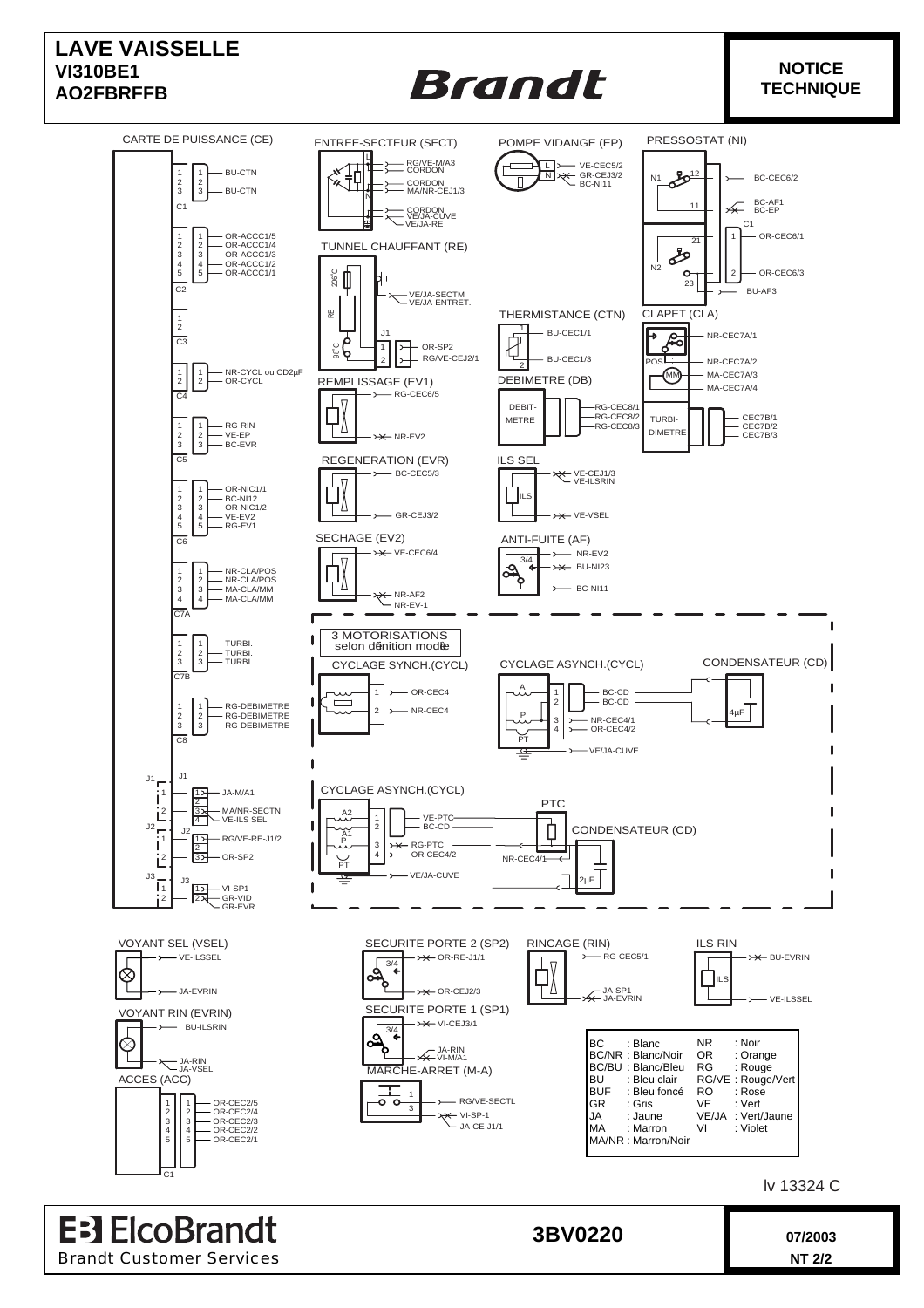

lv 13324 C

**EB ElcoBrandt 3BV0220 1** 07/2003 Brandt Customer Services **NT 2/2**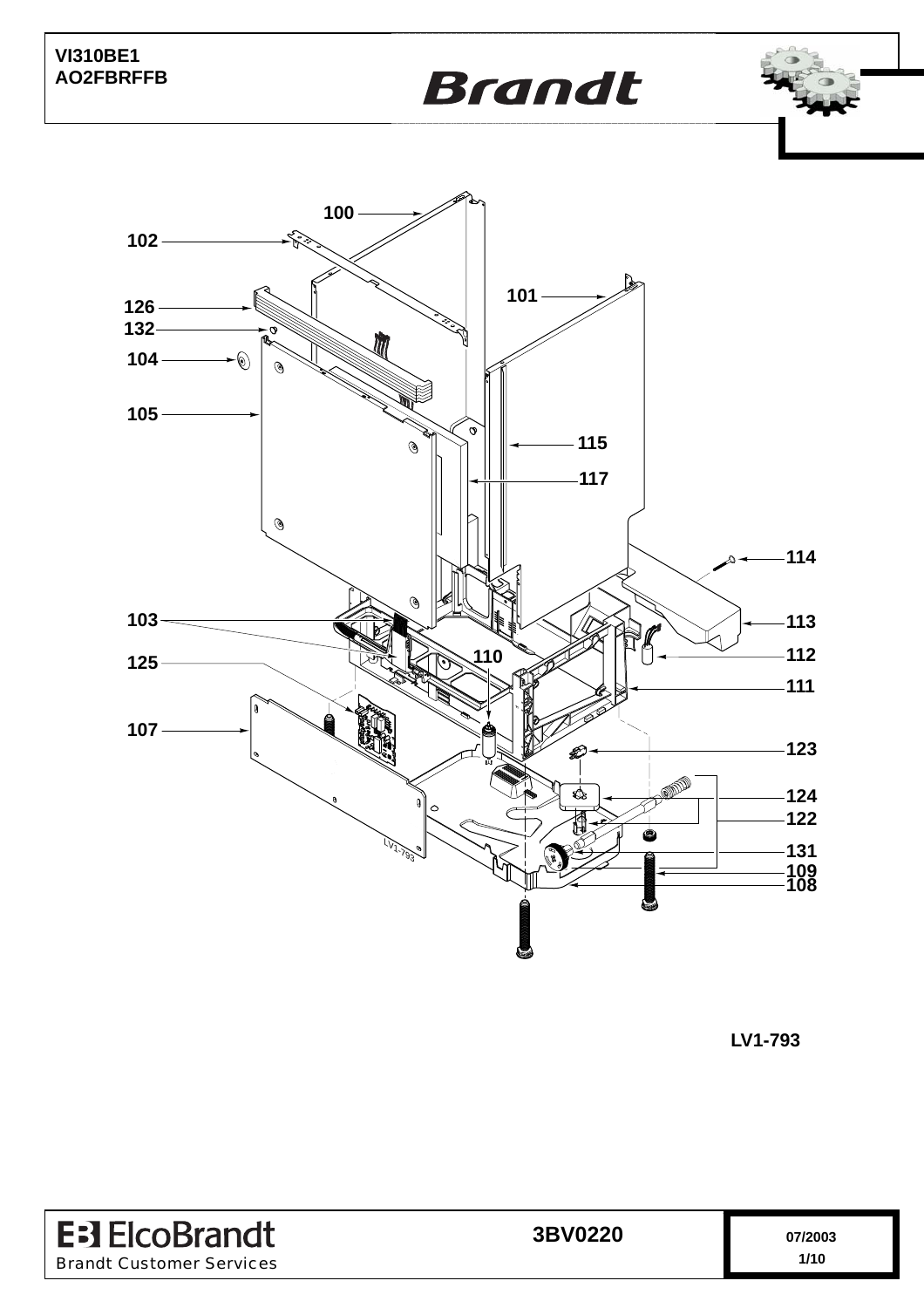





**LV1-793**

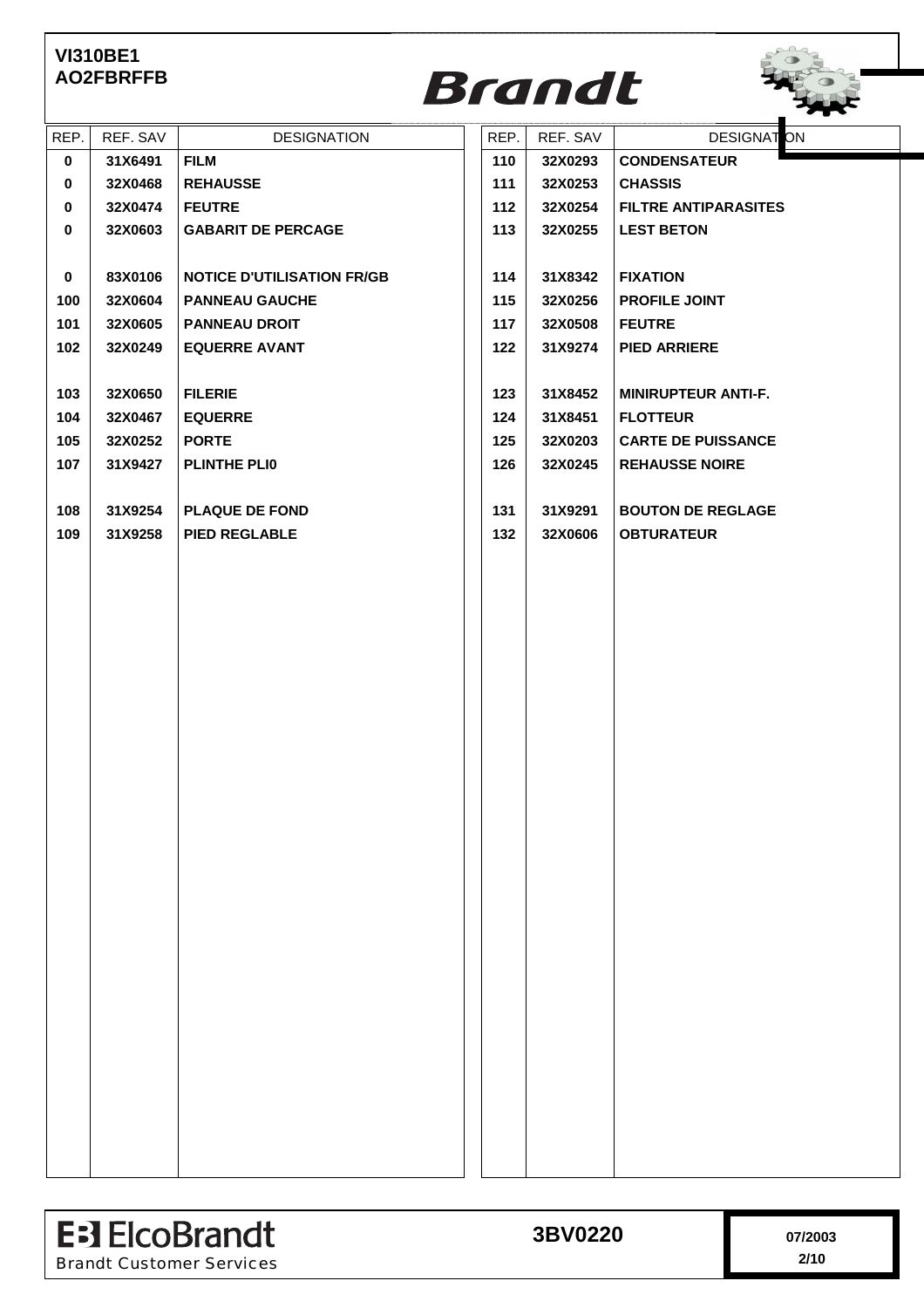

| REP.        | REF. SAV | <b>DESIGNATION</b>                | REP. | REF. SAV | <b>DESIGNATON</b>           |
|-------------|----------|-----------------------------------|------|----------|-----------------------------|
| $\mathbf 0$ | 31X6491  | <b>FILM</b>                       | 110  | 32X0293  | <b>CONDENSATEUR</b>         |
| $\mathbf 0$ | 32X0468  | <b>REHAUSSE</b>                   | 111  | 32X0253  | <b>CHASSIS</b>              |
| $\mathbf 0$ | 32X0474  | <b>FEUTRE</b>                     | 112  | 32X0254  | <b>FILTRE ANTIPARASITES</b> |
| 0           | 32X0603  | <b>GABARIT DE PERCAGE</b>         | 113  | 32X0255  | <b>LEST BETON</b>           |
|             |          |                                   |      |          |                             |
| $\mathbf 0$ | 83X0106  | <b>NOTICE D'UTILISATION FR/GB</b> | 114  | 31X8342  | <b>FIXATION</b>             |
| 100         | 32X0604  | <b>PANNEAU GAUCHE</b>             | 115  | 32X0256  | PROFILE JOINT               |
| 101         | 32X0605  | <b>PANNEAU DROIT</b>              | 117  | 32X0508  | <b>FEUTRE</b>               |
| 102         | 32X0249  | <b>EQUERRE AVANT</b>              | 122  | 31X9274  | <b>PIED ARRIERE</b>         |
|             |          |                                   |      |          |                             |
| 103         | 32X0650  | <b>FILERIE</b>                    | 123  | 31X8452  | <b>MINIRUPTEUR ANTI-F.</b>  |
| 104         | 32X0467  | <b>EQUERRE</b>                    | 124  | 31X8451  | <b>FLOTTEUR</b>             |
| 105         | 32X0252  | <b>PORTE</b>                      | 125  | 32X0203  | <b>CARTE DE PUISSANCE</b>   |
| 107         | 31X9427  | <b>PLINTHE PLIO</b>               | 126  | 32X0245  | <b>REHAUSSE NOIRE</b>       |
|             |          |                                   |      |          |                             |
| 108         | 31X9254  | <b>PLAQUE DE FOND</b>             | 131  | 31X9291  | <b>BOUTON DE REGLAGE</b>    |
| 109         | 31X9258  | <b>PIED REGLABLE</b>              | 132  | 32X0606  | <b>OBTURATEUR</b>           |
|             |          |                                   |      |          |                             |
|             |          |                                   |      |          |                             |
|             |          |                                   |      |          |                             |
|             |          |                                   |      |          |                             |
|             |          |                                   |      |          |                             |
|             |          |                                   |      |          |                             |
|             |          |                                   |      |          |                             |
|             |          |                                   |      |          |                             |
|             |          |                                   |      |          |                             |
|             |          |                                   |      |          |                             |
|             |          |                                   |      |          |                             |
|             |          |                                   |      |          |                             |
|             |          |                                   |      |          |                             |
|             |          |                                   |      |          |                             |
|             |          |                                   |      |          |                             |
|             |          |                                   |      |          |                             |
|             |          |                                   |      |          |                             |
|             |          |                                   |      |          |                             |
|             |          |                                   |      |          |                             |
|             |          |                                   |      |          |                             |
|             |          |                                   |      |          |                             |
|             |          |                                   |      |          |                             |
|             |          |                                   |      |          |                             |
|             |          |                                   |      |          |                             |
|             |          |                                   |      |          |                             |
|             |          |                                   |      |          |                             |
|             |          |                                   |      |          |                             |

| <b>E</b> : ElcoBrandt           | 3BV0220 | 17/2003 |
|---------------------------------|---------|---------|
| <b>Brandt Customer Services</b> |         | 2/10    |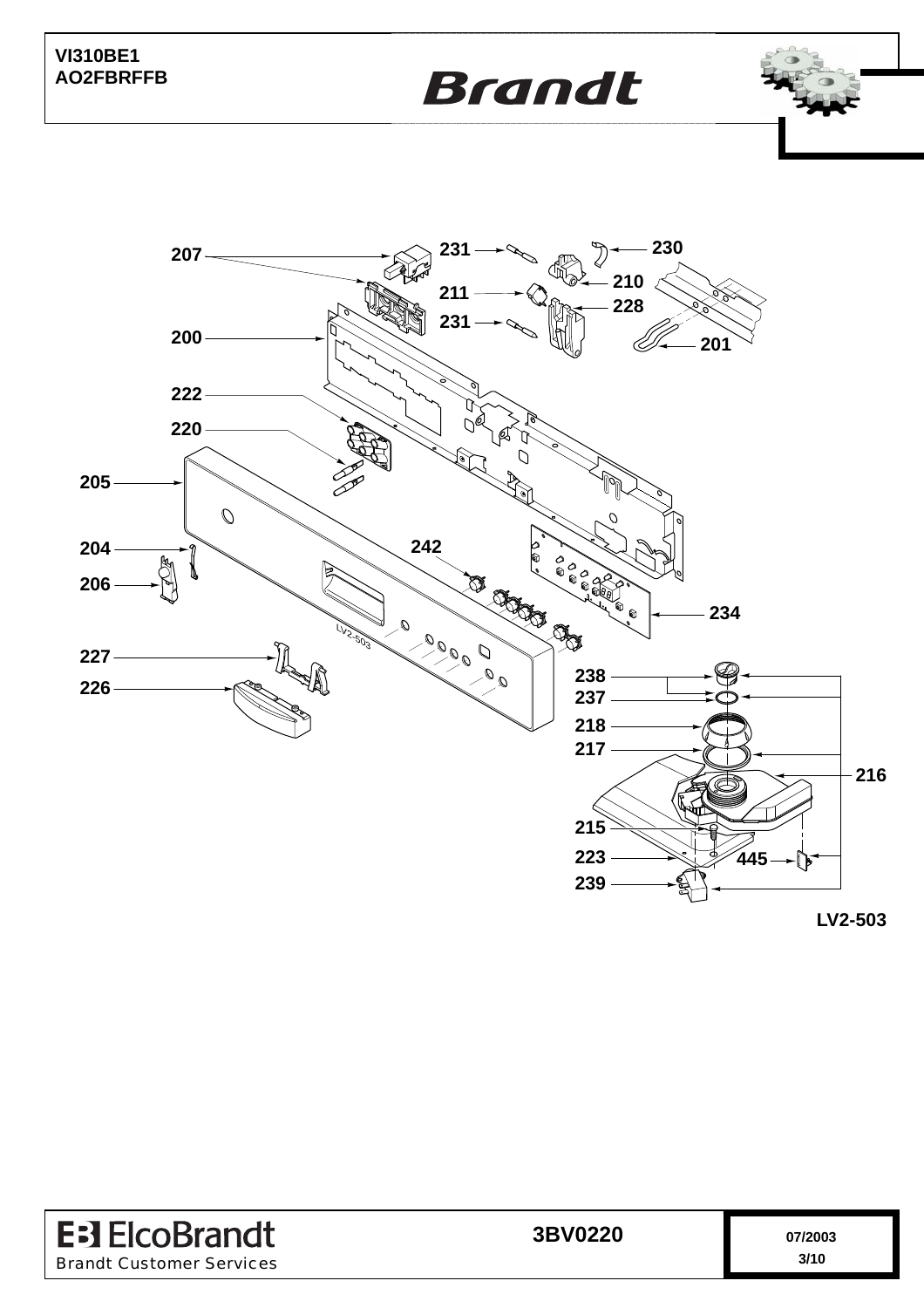



**LV2-503**

| <b>E</b> : J ElcoBrandt         | 3BV0220 | 07/2003 |
|---------------------------------|---------|---------|
| <b>Brandt Customer Services</b> |         | 3/10    |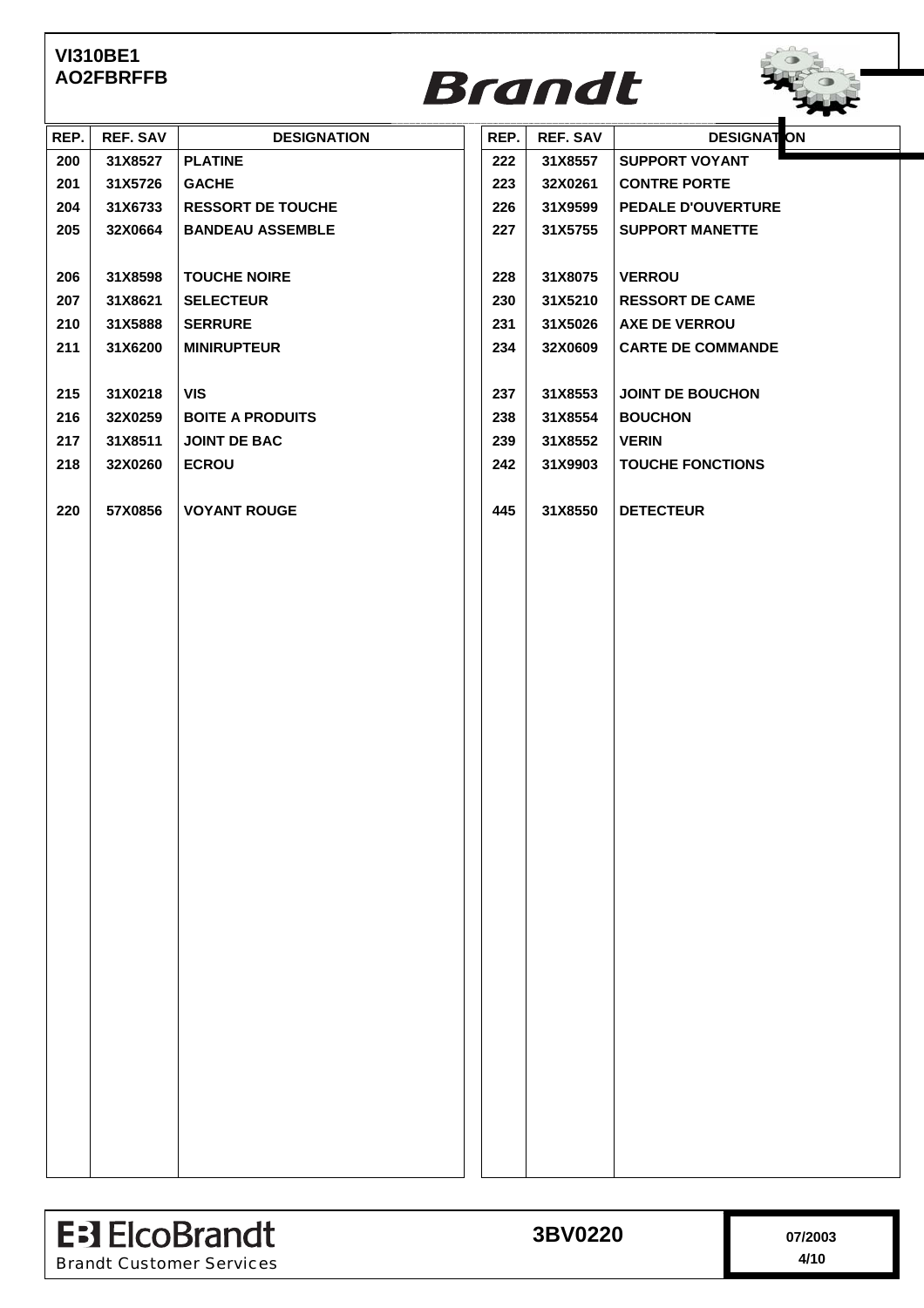

| REP. | <b>REF. SAV</b> | <b>DESIGNATION</b>       | REP. | <b>REF. SAV</b> | <b>DESIGNAT ON</b>       |  |
|------|-----------------|--------------------------|------|-----------------|--------------------------|--|
| 200  | 31X8527         | <b>PLATINE</b>           | 222  | 31X8557         | <b>SUPPORT VOYANT</b>    |  |
| 201  | 31X5726         | <b>GACHE</b>             | 223  | 32X0261         | <b>CONTRE PORTE</b>      |  |
| 204  | 31X6733         | <b>RESSORT DE TOUCHE</b> | 226  | 31X9599         | PEDALE D'OUVERTURE       |  |
| 205  | 32X0664         | <b>BANDEAU ASSEMBLE</b>  | 227  | 31X5755         | <b>SUPPORT MANETTE</b>   |  |
|      |                 |                          |      |                 |                          |  |
| 206  | 31X8598         | <b>TOUCHE NOIRE</b>      | 228  | 31X8075         | <b>VERROU</b>            |  |
| 207  | 31X8621         | <b>SELECTEUR</b>         | 230  | 31X5210         | <b>RESSORT DE CAME</b>   |  |
| 210  | 31X5888         | <b>SERRURE</b>           | 231  | 31X5026         | <b>AXE DE VERROU</b>     |  |
| 211  | 31X6200         | <b>MINIRUPTEUR</b>       | 234  | 32X0609         | <b>CARTE DE COMMANDE</b> |  |
|      |                 |                          |      |                 |                          |  |
| 215  | 31X0218         | <b>VIS</b>               | 237  | 31X8553         | <b>JOINT DE BOUCHON</b>  |  |
| 216  | 32X0259         | <b>BOITE A PRODUITS</b>  | 238  | 31X8554         | <b>BOUCHON</b>           |  |
| 217  | 31X8511         | <b>JOINT DE BAC</b>      | 239  | 31X8552         | <b>VERIN</b>             |  |
| 218  | 32X0260         | <b>ECROU</b>             | 242  | 31X9903         | <b>TOUCHE FONCTIONS</b>  |  |
|      |                 |                          |      |                 |                          |  |
| 220  | 57X0856         | <b>VOYANT ROUGE</b>      | 445  | 31X8550         | <b>DETECTEUR</b>         |  |
|      |                 |                          |      |                 |                          |  |
|      |                 |                          |      |                 |                          |  |
|      |                 |                          |      |                 |                          |  |
|      |                 |                          |      |                 |                          |  |
|      |                 |                          |      |                 |                          |  |
|      |                 |                          |      |                 |                          |  |
|      |                 |                          |      |                 |                          |  |
|      |                 |                          |      |                 |                          |  |
|      |                 |                          |      |                 |                          |  |
|      |                 |                          |      |                 |                          |  |
|      |                 |                          |      |                 |                          |  |
|      |                 |                          |      |                 |                          |  |
|      |                 |                          |      |                 |                          |  |
|      |                 |                          |      |                 |                          |  |
|      |                 |                          |      |                 |                          |  |
|      |                 |                          |      |                 |                          |  |
|      |                 |                          |      |                 |                          |  |
|      |                 |                          |      |                 |                          |  |
|      |                 |                          |      |                 |                          |  |
|      |                 |                          |      |                 |                          |  |
|      |                 |                          |      |                 |                          |  |
|      |                 |                          |      |                 |                          |  |
|      |                 |                          |      |                 |                          |  |
|      |                 |                          |      |                 |                          |  |
|      |                 |                          |      |                 |                          |  |
|      |                 |                          |      |                 |                          |  |
|      |                 |                          |      |                 |                          |  |
|      |                 |                          |      |                 |                          |  |

| <b>E-3 ElcoBrandt</b>           | 3BV0220 | 07/2003 |
|---------------------------------|---------|---------|
| <b>Brandt Customer Services</b> |         | 4/10    |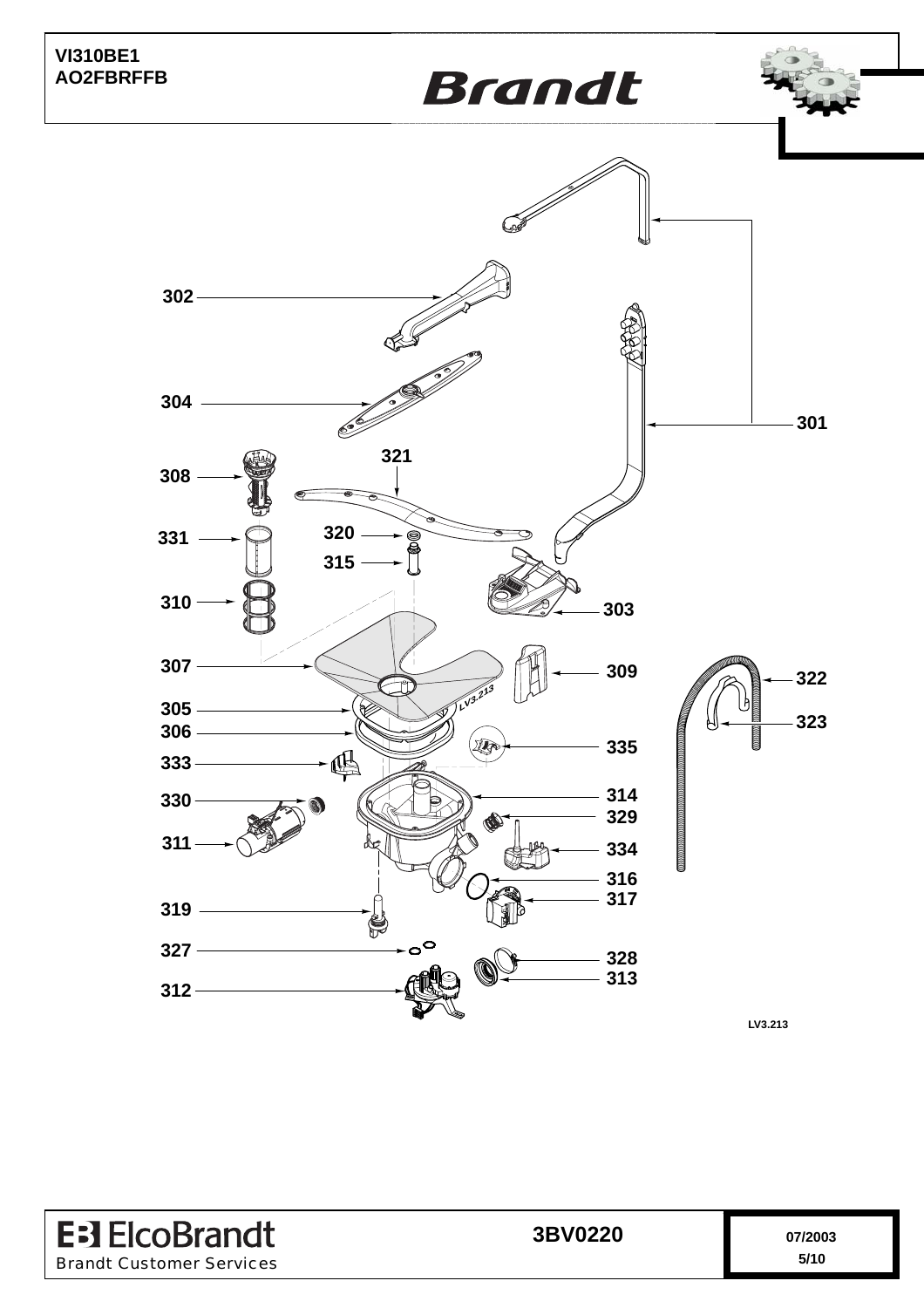





**LV3.213**

**E**<sup>3</sup> ElcoBrandt 3BV0220 07/2003 Brandt Customer Services **5/10**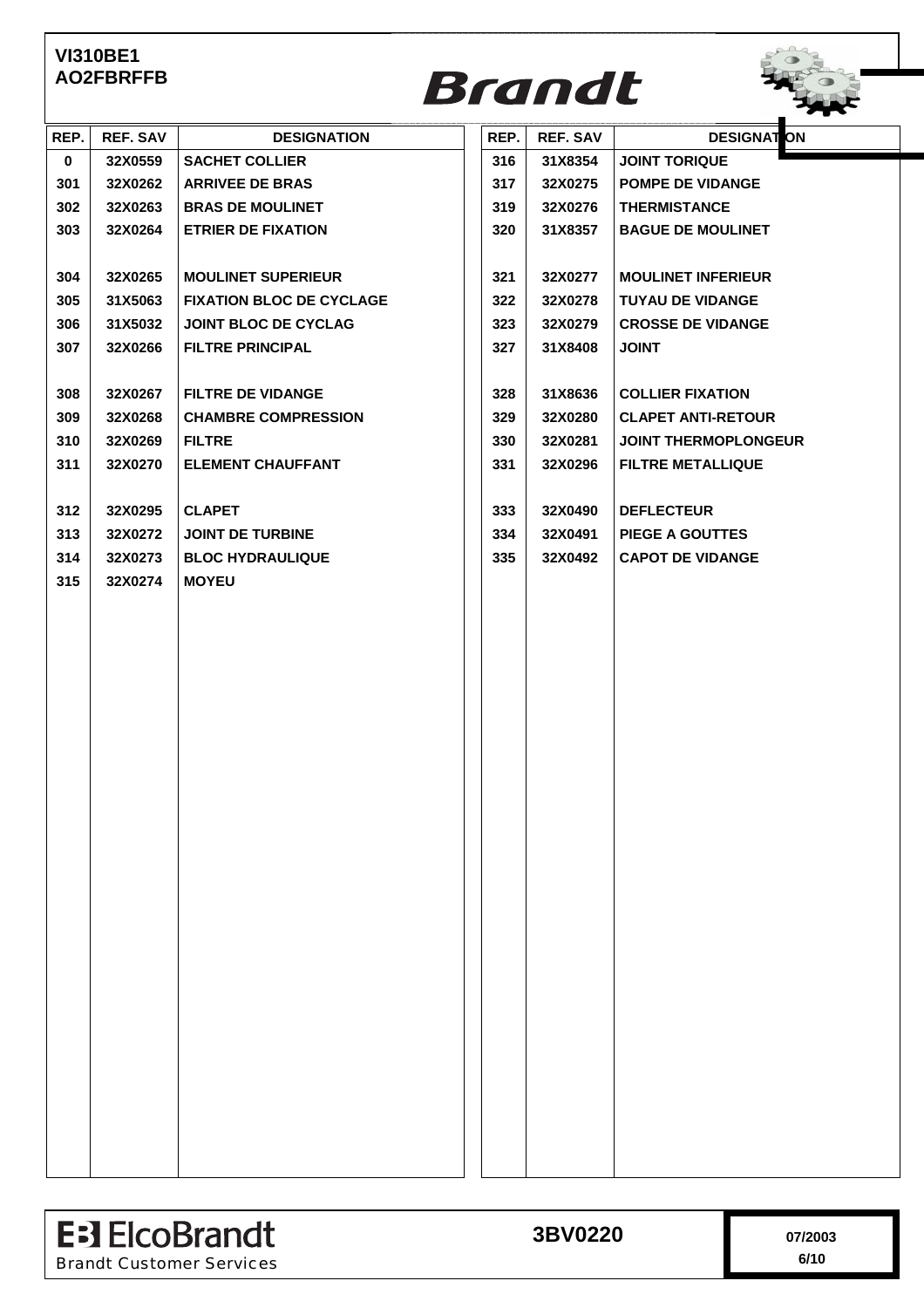

| REP.        | <b>REF. SAV</b> | <b>DESIGNATION</b>              | REP. | <b>REF. SAV</b> | <b>DESIGNAT ON</b>          |
|-------------|-----------------|---------------------------------|------|-----------------|-----------------------------|
| $\mathbf 0$ | 32X0559         | <b>SACHET COLLIER</b>           | 316  | 31X8354         | <b>JOINT TORIQUE</b>        |
| 301         | 32X0262         | <b>ARRIVEE DE BRAS</b>          | 317  | 32X0275         | <b>POMPE DE VIDANGE</b>     |
| 302         | 32X0263         | <b>BRAS DE MOULINET</b>         | 319  | 32X0276         | <b>THERMISTANCE</b>         |
| 303         | 32X0264         | <b>ETRIER DE FIXATION</b>       | 320  | 31X8357         | <b>BAGUE DE MOULINET</b>    |
|             |                 |                                 |      |                 |                             |
| 304         | 32X0265         | <b>MOULINET SUPERIEUR</b>       | 321  | 32X0277         | <b>MOULINET INFERIEUR</b>   |
| 305         | 31X5063         | <b>FIXATION BLOC DE CYCLAGE</b> | 322  | 32X0278         | <b>TUYAU DE VIDANGE</b>     |
| 306         | 31X5032         | <b>JOINT BLOC DE CYCLAG</b>     | 323  | 32X0279         | <b>CROSSE DE VIDANGE</b>    |
| 307         | 32X0266         | <b>FILTRE PRINCIPAL</b>         | 327  | 31X8408         | <b>JOINT</b>                |
|             |                 |                                 |      |                 |                             |
| 308         | 32X0267         | <b>FILTRE DE VIDANGE</b>        | 328  | 31X8636         | <b>COLLIER FIXATION</b>     |
| 309         | 32X0268         | <b>CHAMBRE COMPRESSION</b>      | 329  | 32X0280         | <b>CLAPET ANTI-RETOUR</b>   |
| 310         | 32X0269         | <b>FILTRE</b>                   | 330  | 32X0281         | <b>JOINT THERMOPLONGEUR</b> |
| 311         | 32X0270         | <b>ELEMENT CHAUFFANT</b>        | 331  | 32X0296         | <b>FILTRE METALLIQUE</b>    |
|             |                 |                                 |      |                 |                             |
| 312         | 32X0295         | <b>CLAPET</b>                   | 333  | 32X0490         | <b>DEFLECTEUR</b>           |
| 313         | 32X0272         | <b>JOINT DE TURBINE</b>         | 334  | 32X0491         | <b>PIEGE A GOUTTES</b>      |
| 314         | 32X0273         | <b>BLOC HYDRAULIQUE</b>         | 335  | 32X0492         | <b>CAPOT DE VIDANGE</b>     |
| 315         | 32X0274         | <b>MOYEU</b>                    |      |                 |                             |
|             |                 |                                 |      |                 |                             |
|             |                 |                                 |      |                 |                             |
|             |                 |                                 |      |                 |                             |
|             |                 |                                 |      |                 |                             |
|             |                 |                                 |      |                 |                             |
|             |                 |                                 |      |                 |                             |
|             |                 |                                 |      |                 |                             |
|             |                 |                                 |      |                 |                             |
|             |                 |                                 |      |                 |                             |
|             |                 |                                 |      |                 |                             |
|             |                 |                                 |      |                 |                             |
|             |                 |                                 |      |                 |                             |
|             |                 |                                 |      |                 |                             |
|             |                 |                                 |      |                 |                             |
|             |                 |                                 |      |                 |                             |
|             |                 |                                 |      |                 |                             |
|             |                 |                                 |      |                 |                             |
|             |                 |                                 |      |                 |                             |
|             |                 |                                 |      |                 |                             |
|             |                 |                                 |      |                 |                             |
|             |                 |                                 |      |                 |                             |
|             |                 |                                 |      |                 |                             |
|             |                 |                                 |      |                 |                             |
|             |                 |                                 |      |                 |                             |
|             |                 |                                 |      |                 |                             |
|             |                 |                                 |      |                 |                             |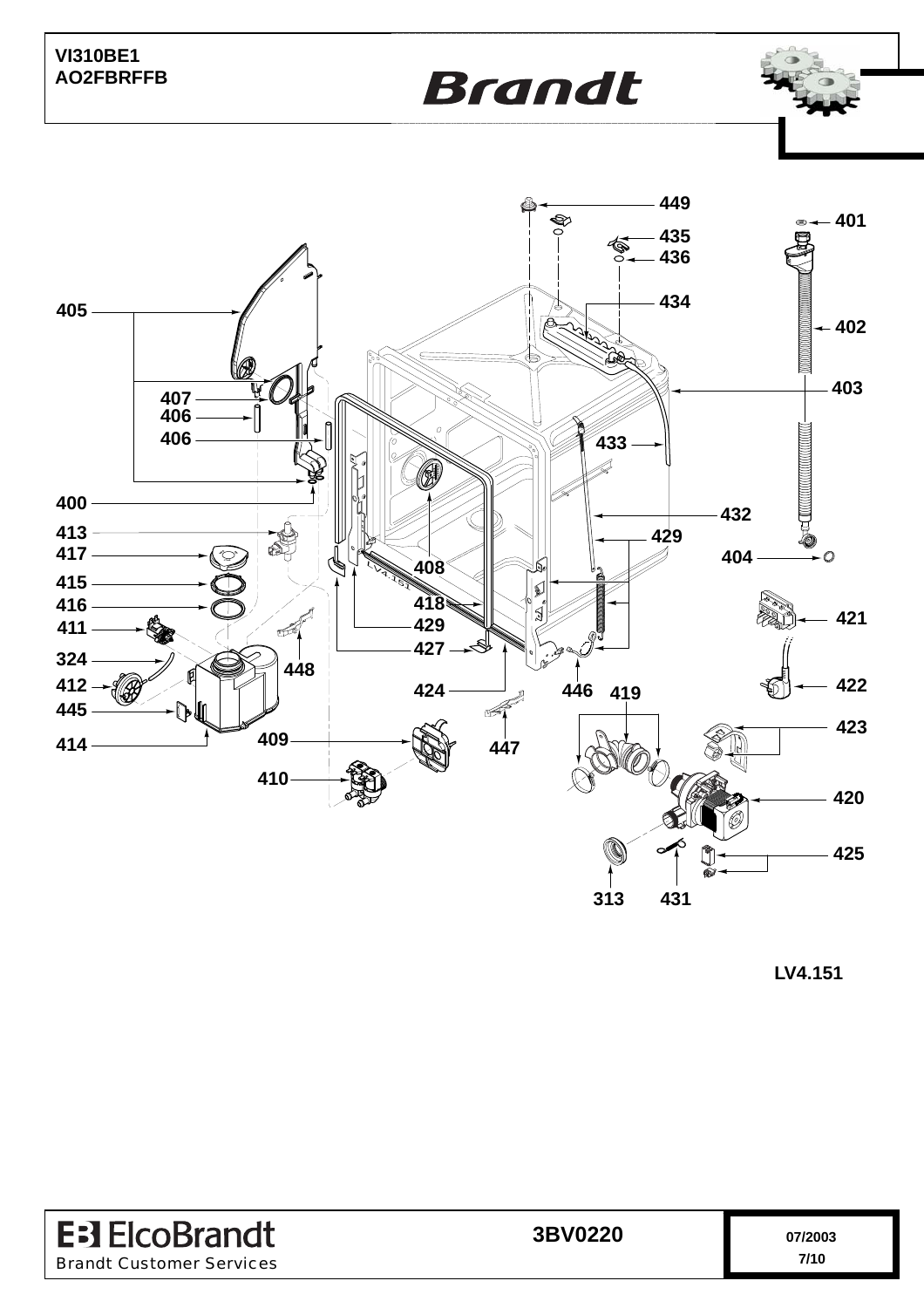**Brandt** 



**LV4.151**

| <b>E</b> : ElcoBrandt           | 3BV0220 | 07/2003 |
|---------------------------------|---------|---------|
| <b>Brandt Customer Services</b> |         | 7/10    |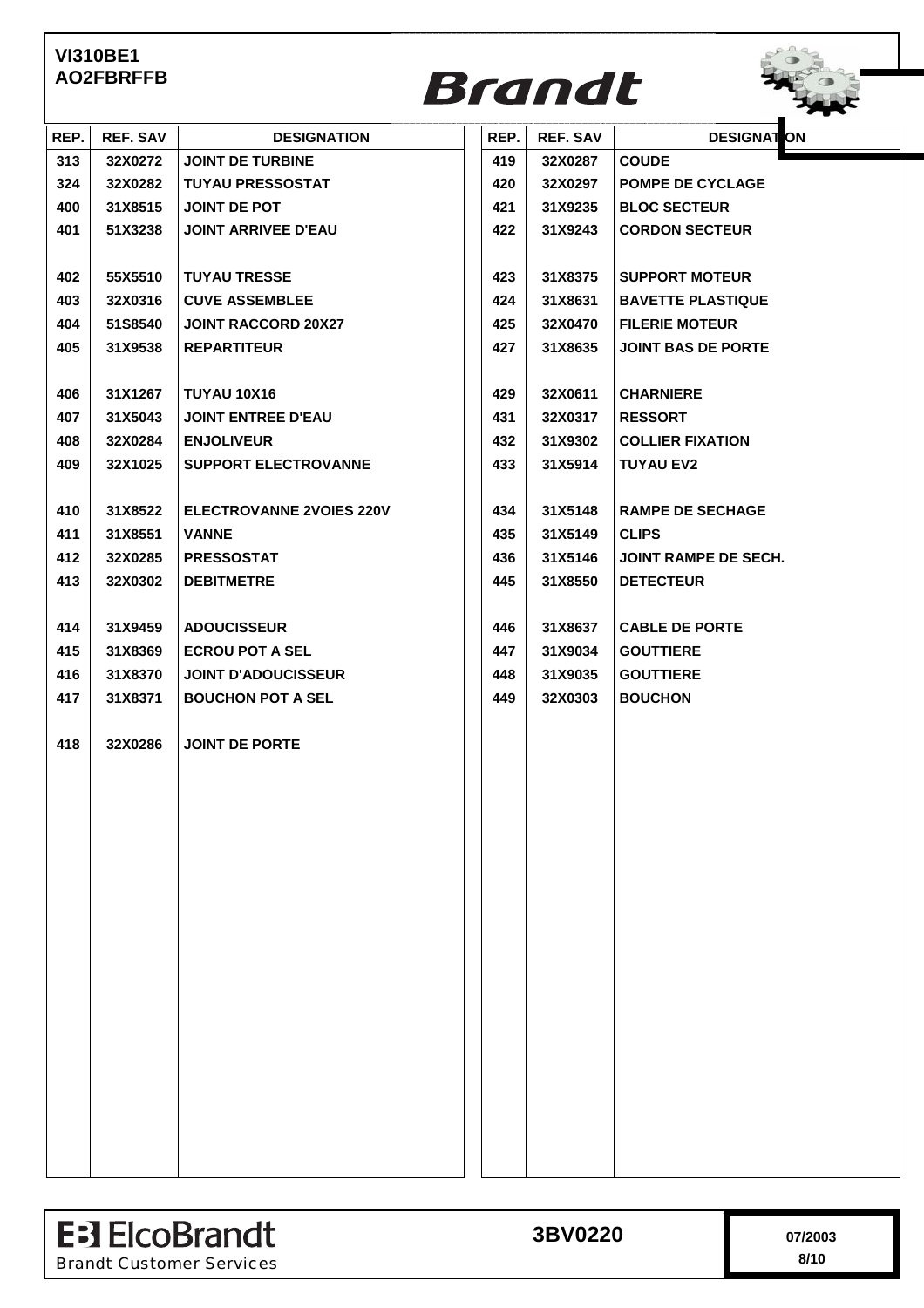

| REP. | <b>REF. SAV</b> | <b>DESIGNATION</b>              | REP. | REF. SAV | <b>DESIGNATION</b>          |
|------|-----------------|---------------------------------|------|----------|-----------------------------|
| 313  | 32X0272         | <b>JOINT DE TURBINE</b>         | 419  | 32X0287  | <b>COUDE</b>                |
| 324  | 32X0282         | <b>TUYAU PRESSOSTAT</b>         | 420  | 32X0297  | <b>POMPE DE CYCLAGE</b>     |
| 400  | 31X8515         | JOINT DE POT                    | 421  | 31X9235  | <b>BLOC SECTEUR</b>         |
| 401  | 51X3238         | <b>JOINT ARRIVEE D'EAU</b>      | 422  | 31X9243  | <b>CORDON SECTEUR</b>       |
|      |                 |                                 |      |          |                             |
| 402  | 55X5510         | <b>TUYAU TRESSE</b>             | 423  | 31X8375  | <b>SUPPORT MOTEUR</b>       |
| 403  | 32X0316         | <b>CUVE ASSEMBLEE</b>           | 424  | 31X8631  | <b>BAVETTE PLASTIQUE</b>    |
| 404  | 51S8540         | <b>JOINT RACCORD 20X27</b>      | 425  | 32X0470  | <b>FILERIE MOTEUR</b>       |
| 405  | 31X9538         | <b>REPARTITEUR</b>              | 427  | 31X8635  | <b>JOINT BAS DE PORTE</b>   |
|      |                 |                                 |      |          |                             |
| 406  | 31X1267         | TUYAU 10X16                     | 429  | 32X0611  | <b>CHARNIERE</b>            |
| 407  | 31X5043         | <b>JOINT ENTREE D'EAU</b>       | 431  | 32X0317  | <b>RESSORT</b>              |
| 408  | 32X0284         | <b>ENJOLIVEUR</b>               | 432  | 31X9302  | <b>COLLIER FIXATION</b>     |
| 409  | 32X1025         | <b>SUPPORT ELECTROVANNE</b>     | 433  | 31X5914  | <b>TUYAU EV2</b>            |
|      |                 |                                 |      |          |                             |
| 410  | 31X8522         | <b>ELECTROVANNE 2VOIES 220V</b> | 434  | 31X5148  | <b>RAMPE DE SECHAGE</b>     |
| 411  | 31X8551         | <b>VANNE</b>                    | 435  | 31X5149  | <b>CLIPS</b>                |
| 412  | 32X0285         | <b>PRESSOSTAT</b>               | 436  | 31X5146  | <b>JOINT RAMPE DE SECH.</b> |
| 413  | 32X0302         | <b>DEBITMETRE</b>               | 445  | 31X8550  | <b>DETECTEUR</b>            |
|      |                 |                                 |      |          |                             |
| 414  | 31X9459         | <b>ADOUCISSEUR</b>              | 446  | 31X8637  | <b>CABLE DE PORTE</b>       |
| 415  | 31X8369         | <b>ECROU POT A SEL</b>          | 447  | 31X9034  | <b>GOUTTIERE</b>            |
| 416  | 31X8370         | <b>JOINT D'ADOUCISSEUR</b>      | 448  | 31X9035  | <b>GOUTTIERE</b>            |
| 417  | 31X8371         | <b>BOUCHON POT A SEL</b>        | 449  | 32X0303  | <b>BOUCHON</b>              |
|      |                 |                                 |      |          |                             |
| 418  | 32X0286         | <b>JOINT DE PORTE</b>           |      |          |                             |
|      |                 |                                 |      |          |                             |
|      |                 |                                 |      |          |                             |
|      |                 |                                 |      |          |                             |
|      |                 |                                 |      |          |                             |
|      |                 |                                 |      |          |                             |
|      |                 |                                 |      |          |                             |
|      |                 |                                 |      |          |                             |
|      |                 |                                 |      |          |                             |
|      |                 |                                 |      |          |                             |
|      |                 |                                 |      |          |                             |
|      |                 |                                 |      |          |                             |
|      |                 |                                 |      |          |                             |
|      |                 |                                 |      |          |                             |
|      |                 |                                 |      |          |                             |
|      |                 |                                 |      |          |                             |
|      |                 |                                 |      |          |                             |
|      |                 |                                 |      |          |                             |
|      |                 |                                 |      |          |                             |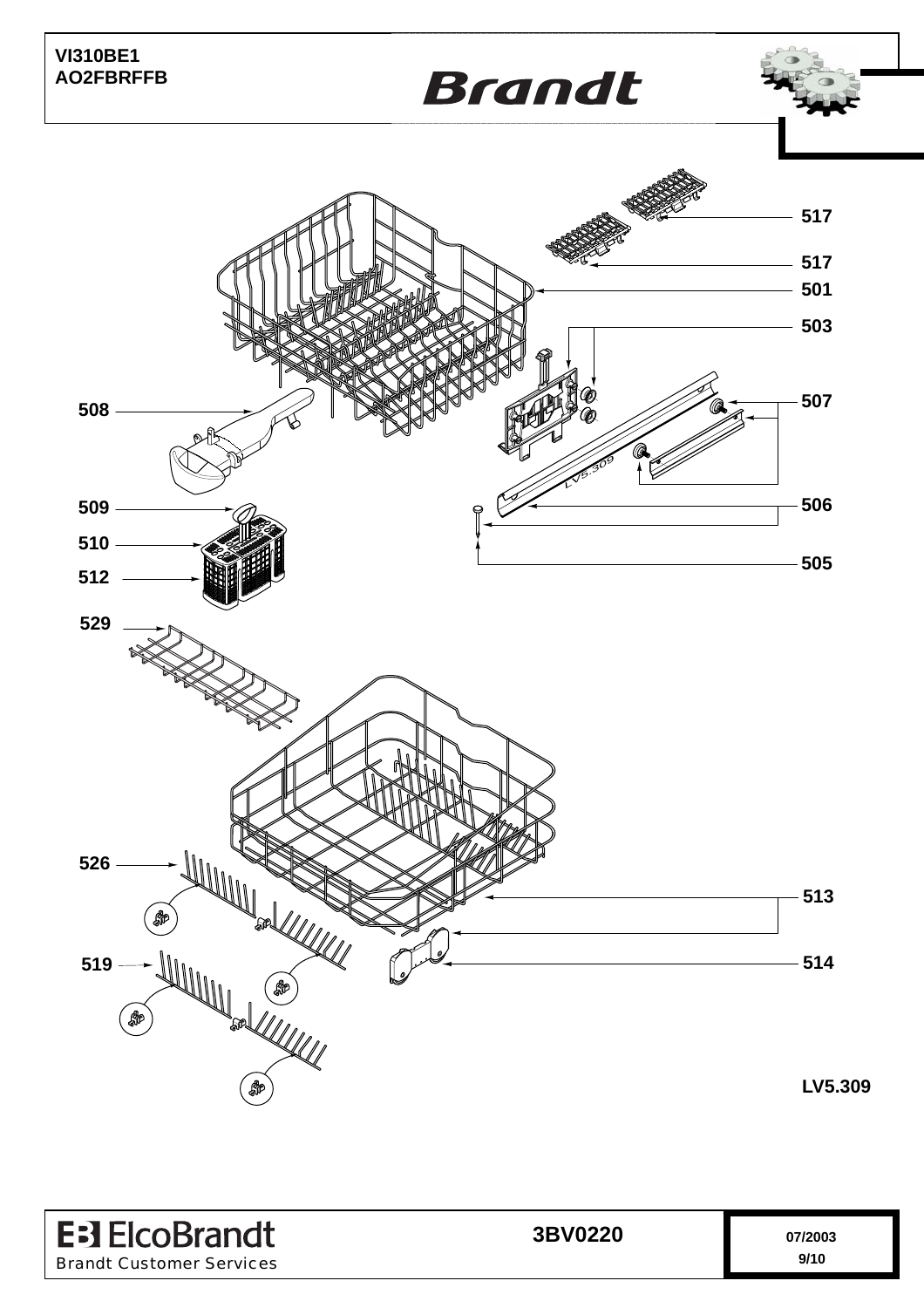

| <b>E</b> : ElcoBrandt           | 3BV0220 | 07/2003 |
|---------------------------------|---------|---------|
| <b>Brandt Customer Services</b> |         | 9/10    |